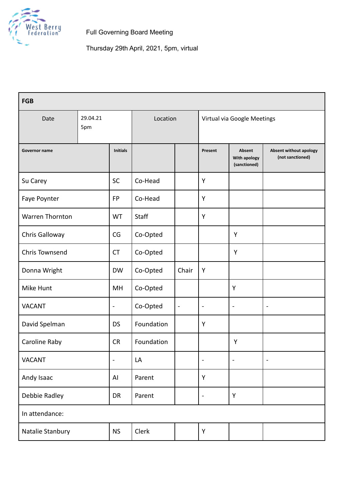

Thursday 29th April, 2021, 5pm, virtual

| <b>FGB</b>             |                 |                 |            |                |                             |                                        |                                            |
|------------------------|-----------------|-----------------|------------|----------------|-----------------------------|----------------------------------------|--------------------------------------------|
| Date                   | 29.04.21<br>5pm |                 | Location   |                | Virtual via Google Meetings |                                        |                                            |
| Governor name          |                 | <b>Initials</b> |            |                | Present                     | Absent<br>With apology<br>(sanctioned) | Absent without apology<br>(not sanctioned) |
| Su Carey               |                 | SC              | Co-Head    |                | Y                           |                                        |                                            |
| Faye Poynter           |                 | <b>FP</b>       | Co-Head    |                | Y                           |                                        |                                            |
| <b>Warren Thornton</b> |                 | <b>WT</b>       | Staff      |                | Y                           |                                        |                                            |
| Chris Galloway         |                 | CG              | Co-Opted   |                |                             | Y                                      |                                            |
| <b>Chris Townsend</b>  |                 | <b>CT</b>       | Co-Opted   |                |                             | Υ                                      |                                            |
| Donna Wright           |                 | <b>DW</b>       | Co-Opted   | Chair          | Y                           |                                        |                                            |
| Mike Hunt              |                 | MH              | Co-Opted   |                |                             | Y                                      |                                            |
| <b>VACANT</b>          |                 | $\blacksquare$  | Co-Opted   | $\blacksquare$ | $\blacksquare$              | $\blacksquare$                         | $\blacksquare$                             |
| David Spelman          |                 | <b>DS</b>       | Foundation |                | Y                           |                                        |                                            |
| Caroline Raby          |                 | <b>CR</b>       | Foundation |                |                             | Υ                                      |                                            |
| <b>VACANT</b>          |                 | ÷               | LA         |                | ÷                           | $\blacksquare$                         | $\qquad \qquad \blacksquare$               |
| Andy Isaac             |                 | AI              | Parent     |                | Y                           |                                        |                                            |
| Debbie Radley          |                 | DR              | Parent     |                | ÷                           | Υ                                      |                                            |
| In attendance:         |                 |                 |            |                |                             |                                        |                                            |
| Natalie Stanbury       |                 | <b>NS</b>       | Clerk      |                | Υ                           |                                        |                                            |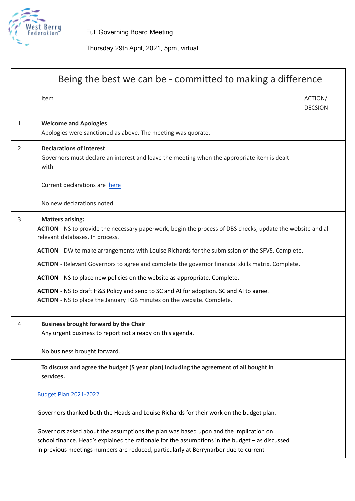

## Thursday 29th April, 2021, 5pm, virtual

|              | Being the best we can be - committed to making a difference                                                                                                                                                                                                                     |                           |  |
|--------------|---------------------------------------------------------------------------------------------------------------------------------------------------------------------------------------------------------------------------------------------------------------------------------|---------------------------|--|
|              | Item                                                                                                                                                                                                                                                                            | ACTION/<br><b>DECSION</b> |  |
| $\mathbf{1}$ | <b>Welcome and Apologies</b><br>Apologies were sanctioned as above. The meeting was quorate.                                                                                                                                                                                    |                           |  |
| 2            | <b>Declarations of interest</b><br>Governors must declare an interest and leave the meeting when the appropriate item is dealt<br>with.                                                                                                                                         |                           |  |
|              | Current declarations are here                                                                                                                                                                                                                                                   |                           |  |
|              | No new declarations noted.                                                                                                                                                                                                                                                      |                           |  |
| 3            | <b>Matters arising:</b><br>ACTION - NS to provide the necessary paperwork, begin the process of DBS checks, update the website and all<br>relevant databases. In process.                                                                                                       |                           |  |
|              | ACTION - DW to make arrangements with Louise Richards for the submission of the SFVS. Complete.                                                                                                                                                                                 |                           |  |
|              | ACTION - Relevant Governors to agree and complete the governor financial skills matrix. Complete.                                                                                                                                                                               |                           |  |
|              | ACTION - NS to place new policies on the website as appropriate. Complete.                                                                                                                                                                                                      |                           |  |
|              | ACTION - NS to draft H&S Policy and send to SC and AI for adoption. SC and AI to agree.<br>ACTION - NS to place the January FGB minutes on the website. Complete.                                                                                                               |                           |  |
| 4            | <b>Business brought forward by the Chair</b><br>Any urgent business to report not already on this agenda.                                                                                                                                                                       |                           |  |
|              | No business brought forward.                                                                                                                                                                                                                                                    |                           |  |
|              | To discuss and agree the budget (5 year plan) including the agreement of all bought in<br>services.                                                                                                                                                                             |                           |  |
|              | <b>Budget Plan 2021-2022</b>                                                                                                                                                                                                                                                    |                           |  |
|              | Governors thanked both the Heads and Louise Richards for their work on the budget plan.                                                                                                                                                                                         |                           |  |
|              | Governors asked about the assumptions the plan was based upon and the implication on<br>school finance. Head's explained the rationale for the assumptions in the budget - as discussed<br>in previous meetings numbers are reduced, particularly at Berrynarbor due to current |                           |  |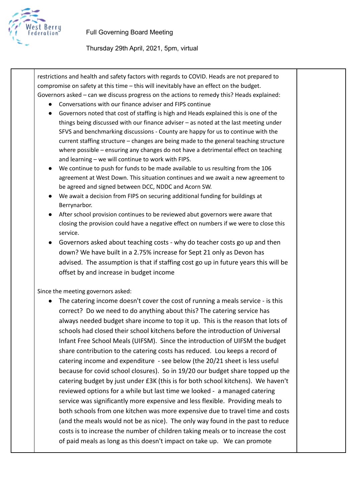

## Thursday 29th April, 2021, 5pm, virtual

restrictions and health and safety factors with regards to COVID. Heads are not prepared to compromise on safety at this time – this will inevitably have an effect on the budget. Governors asked – can we discuss progress on the actions to remedy this? Heads explained:

- Conversations with our finance adviser and FIPS continue
- Governors noted that cost of staffing is high and Heads explained this is one of the things being discussed with our finance adviser – as noted at the last meeting under SFVS and benchmarking discussions - County are happy for us to continue with the current staffing structure – changes are being made to the general teaching structure where possible – ensuring any changes do not have a detrimental effect on teaching and learning – we will continue to work with FIPS.
- We continue to push for funds to be made available to us resulting from the 106 agreement at West Down. This situation continues and we await a new agreement to be agreed and signed between DCC, NDDC and Acorn SW.
- We await a decision from FIPS on securing additional funding for buildings at Berrynarbor.
- After school provision continues to be reviewed abut governors were aware that closing the provision could have a negative effect on numbers if we were to close this service.
- Governors asked about teaching costs why do teacher costs go up and then down? We have built in a 2.75% increase for Sept 21 only as Devon has advised. The assumption is that if staffing cost go up in future years this will be offset by and increase in budget income

Since the meeting governors asked:

● The catering income doesn't cover the cost of running a meals service - is this correct? Do we need to do anything about this? The catering service has always needed budget share income to top it up. This is the reason that lots of schools had closed their school kitchens before the introduction of Universal Infant Free School Meals (UIFSM). Since the introduction of UIFSM the budget share contribution to the catering costs has reduced. Lou keeps a record of catering income and expenditure - see below (the 20/21 sheet is less useful because for covid school closures). So in 19/20 our budget share topped up the catering budget by just under £3K (this is for both school kitchens). We haven't reviewed options for a while but last time we looked - a managed catering service was significantly more expensive and less flexible. Providing meals to both schools from one kitchen was more expensive due to travel time and costs (and the meals would not be as nice). The only way found in the past to reduce costs is to increase the number of children taking meals or to increase the cost of paid meals as long as this doesn't impact on take up. We can promote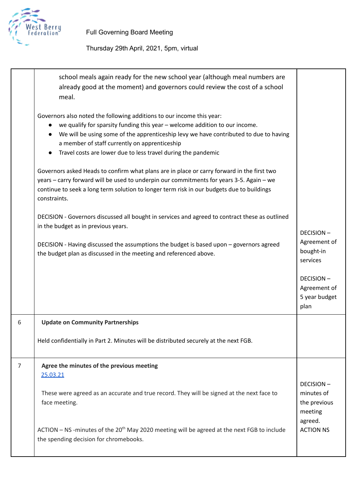

|   | school meals again ready for the new school year (although meal numbers are<br>already good at the moment) and governors could review the cost of a school<br>meal.                                                                                                                                                                                                                       |                                                           |
|---|-------------------------------------------------------------------------------------------------------------------------------------------------------------------------------------------------------------------------------------------------------------------------------------------------------------------------------------------------------------------------------------------|-----------------------------------------------------------|
|   | Governors also noted the following additions to our income this year:<br>we qualify for sparsity funding this year - welcome addition to our income.<br>$\bullet$<br>We will be using some of the apprenticeship levy we have contributed to due to having<br>a member of staff currently on apprenticeship<br>Travel costs are lower due to less travel during the pandemic<br>$\bullet$ |                                                           |
|   | Governors asked Heads to confirm what plans are in place or carry forward in the first two<br>years - carry forward will be used to underpin our commitments for years 3-5. Again - we<br>continue to seek a long term solution to longer term risk in our budgets due to buildings<br>constraints.                                                                                       |                                                           |
|   | DECISION - Governors discussed all bought in services and agreed to contract these as outlined<br>in the budget as in previous years.                                                                                                                                                                                                                                                     | <b>DECISION-</b>                                          |
|   | DECISION - Having discussed the assumptions the budget is based upon - governors agreed<br>the budget plan as discussed in the meeting and referenced above.                                                                                                                                                                                                                              | Agreement of<br>bought-in<br>services                     |
|   |                                                                                                                                                                                                                                                                                                                                                                                           | <b>DECISION-</b><br>Agreement of<br>5 year budget<br>plan |
| 6 | <b>Update on Community Partnerships</b>                                                                                                                                                                                                                                                                                                                                                   |                                                           |
|   | Held confidentially in Part 2. Minutes will be distributed securely at the next FGB.                                                                                                                                                                                                                                                                                                      |                                                           |
| 7 | Agree the minutes of the previous meeting<br>25.03.21                                                                                                                                                                                                                                                                                                                                     |                                                           |
|   | These were agreed as an accurate and true record. They will be signed at the next face to<br>face meeting.                                                                                                                                                                                                                                                                                | <b>DECISION-</b><br>minutes of<br>the previous<br>meeting |
|   | $ACTION - NS$ -minutes of the $20th$ May 2020 meeting will be agreed at the next FGB to include<br>the spending decision for chromebooks.                                                                                                                                                                                                                                                 | agreed.<br><b>ACTION NS</b>                               |